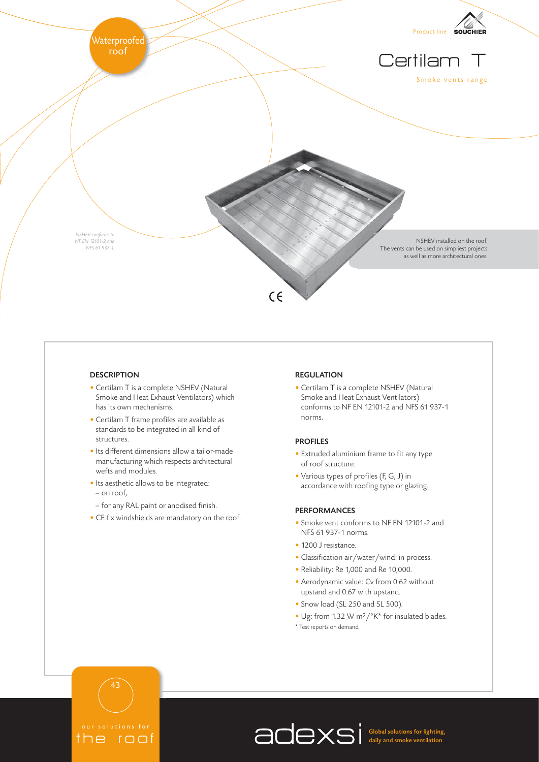

## **DESCRIPTION**

- Certilam T is a complete NSHEV (Natural Smoke and Heat Exhaust Ventilators) which has its own mechanisms.
- Certilam T frame profiles are available as standards to be integrated in all kind of structures.
- Its different dimensions allow a tailor-made manufacturing which respects architectural wefts and modules.
- Its aesthetic allows to be integrated:
- on roof,
- for any RAL paint or anodised finish.
- CE fix windshields are mandatory on the roof.

#### REGULATION

• Certilam T is a complete NSHEV (Natural Smoke and Heat Exhaust Ventilators) conforms to NF EN 12101-2 and NFS 61 937-1 norms.

#### PROFILES

- Extruded aluminium frame to fit any type of roof structure.
- Various types of profiles (F, G, J) in accordance with roofing type or glazing.

#### PERFORMANCES

- Smoke vent conforms to NF EN 12101-2 and NFS 61 937-1 norms.
- 1200 J resistance.
- Classification air/water/wind: in process.
- Reliability: Re 1,000 and Re 10,000.
- Aerodynamic value: Cv from 0.62 without upstand and 0.67 with upstand.
- Snow load (SL 250 and SL 500).
- Ug: from 1.32 W m<sup>2</sup>/°K<sup>\*</sup> for insulated blades.
- \* Test reports on demand.

# 43

## the roof

Global solutions for lighting, daily and smoke ventilation